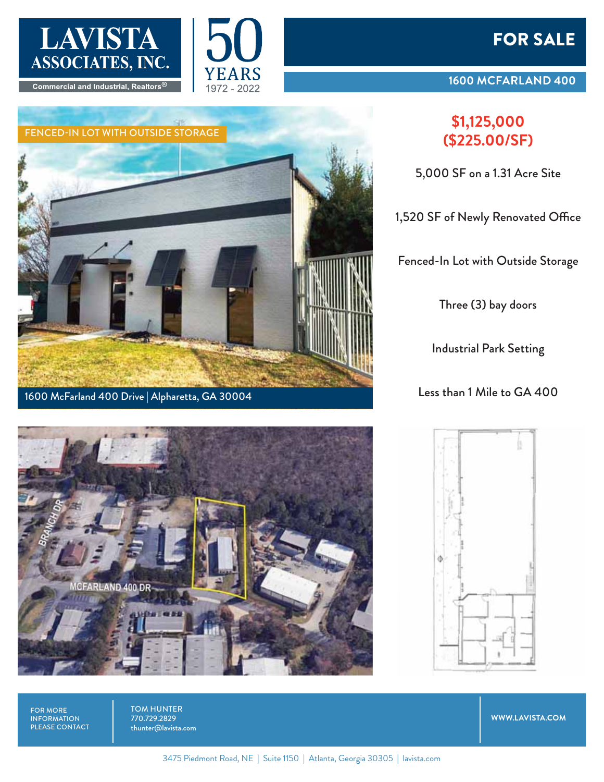

Commercial and Industrial, Realtors®





1600 McFarland 400 Drive | Alpharetta, GA 30004

### FOR SALE

#### **1600 MCFARLAND 400**

# **(\$225.00/SF)**

5,000 SF on a 1.31 Acre Site

1,520 SF of Newly Renovated Office

Fenced-In Lot with Outside Storage

Three (3) bay doors

Industrial Park Setting

Less than 1 Mile to GA 400





FOR MORE INFORMATION PLEASE CONTACT TOM HUNTER 770.729.2829 thunter@lavista.com